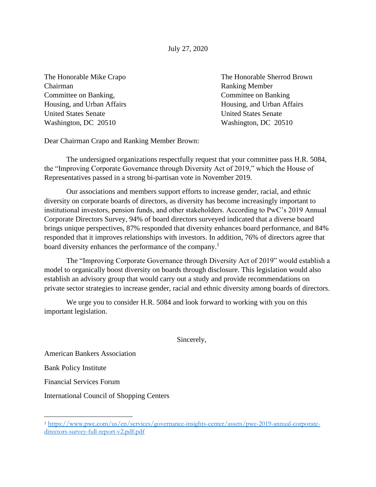July 27, 2020

Chairman Ranking Member Committee on Banking, Committee on Banking Housing, and Urban Affairs Housing, and Urban Affairs United States Senate United States Senate Washington, DC 20510 Washington, DC 20510

The Honorable Mike Crapo The Honorable Sherrod Brown

Dear Chairman Crapo and Ranking Member Brown:

The undersigned organizations respectfully request that your committee pass H.R. 5084, the "Improving Corporate Governance through Diversity Act of 2019," which the House of Representatives passed in a strong bi-partisan vote in November 2019.

Our associations and members support efforts to increase gender, racial, and ethnic diversity on corporate boards of directors, as diversity has become increasingly important to institutional investors, pension funds, and other stakeholders. According to PwC's 2019 Annual Corporate Directors Survey, 94% of board directors surveyed indicated that a diverse board brings unique perspectives, 87% responded that diversity enhances board performance, and 84% responded that it improves relationships with investors. In addition, 76% of directors agree that board diversity enhances the performance of the company.<sup>1</sup>

The "Improving Corporate Governance through Diversity Act of 2019" would establish a model to organically boost diversity on boards through disclosure. This legislation would also establish an advisory group that would carry out a study and provide recommendations on private sector strategies to increase gender, racial and ethnic diversity among boards of directors.

We urge you to consider H.R. 5084 and look forward to working with you on this important legislation.

Sincerely,

American Bankers Association

Bank Policy Institute

Financial Services Forum

International Council of Shopping Centers

<sup>1</sup> [https://www.pwc.com/us/en/services/governance-insights-center/assets/pwc-2019-annual-corporate](https://www.pwc.com/us/en/services/governance-insights-center/assets/pwc-2019-annual-corporate-directors-survey-full-report-v2.pdf.pdf)[directors-survey-full-report-v2.pdf.pdf](https://www.pwc.com/us/en/services/governance-insights-center/assets/pwc-2019-annual-corporate-directors-survey-full-report-v2.pdf.pdf)